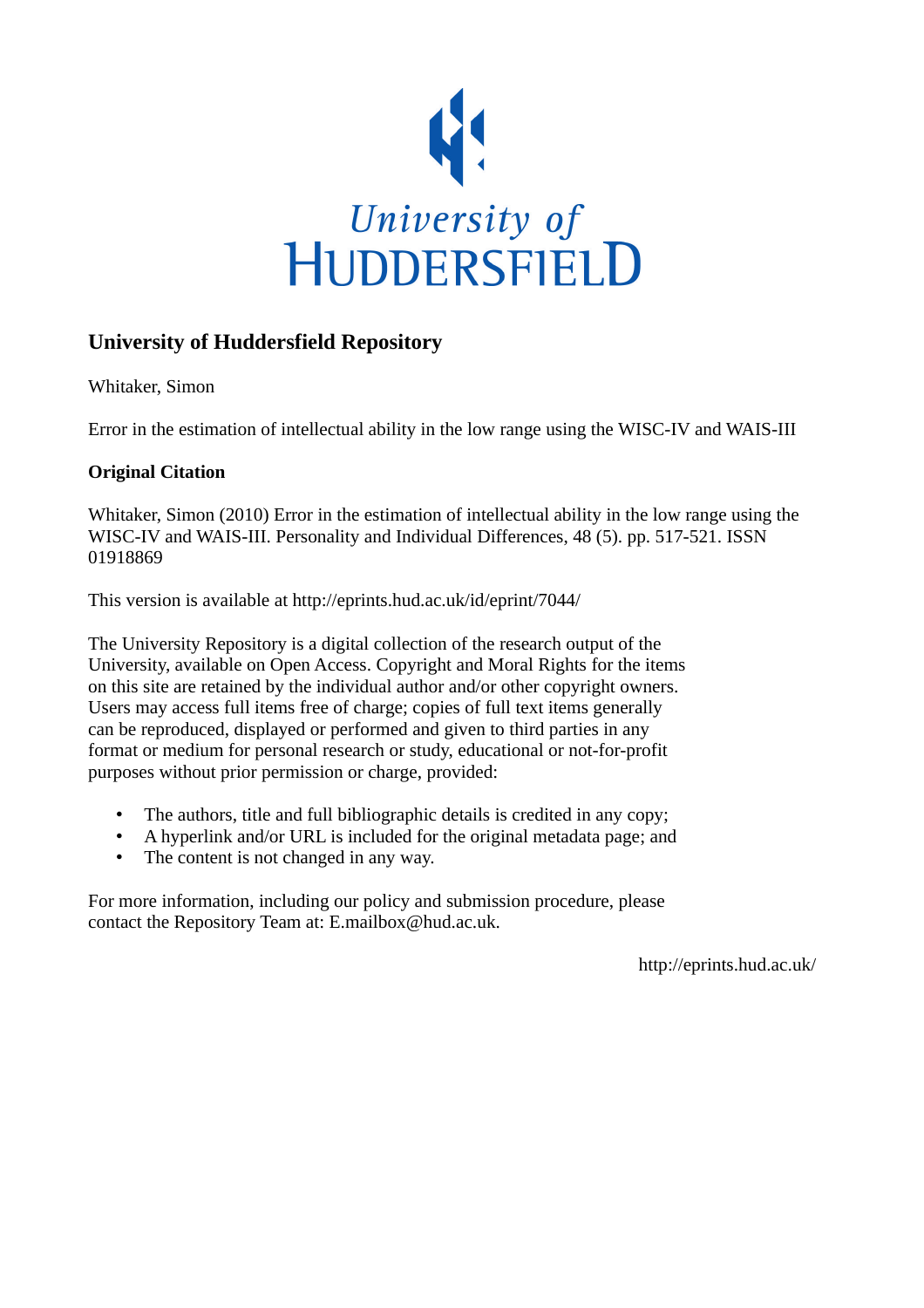

# **University of Huddersfield Repository**

Whitaker, Simon

Error in the estimation of intellectual ability in the low range using the WISC-IV and WAIS-III

### **Original Citation**

Whitaker, Simon (2010) Error in the estimation of intellectual ability in the low range using the WISC-IV and WAIS-III. Personality and Individual Differences, 48 (5). pp. 517-521. ISSN 01918869

This version is available at http://eprints.hud.ac.uk/id/eprint/7044/

The University Repository is a digital collection of the research output of the University, available on Open Access. Copyright and Moral Rights for the items on this site are retained by the individual author and/or other copyright owners. Users may access full items free of charge; copies of full text items generally can be reproduced, displayed or performed and given to third parties in any format or medium for personal research or study, educational or not-for-profit purposes without prior permission or charge, provided:

- The authors, title and full bibliographic details is credited in any copy;
- A hyperlink and/or URL is included for the original metadata page; and
- The content is not changed in any way.

For more information, including our policy and submission procedure, please contact the Repository Team at: E.mailbox@hud.ac.uk.

http://eprints.hud.ac.uk/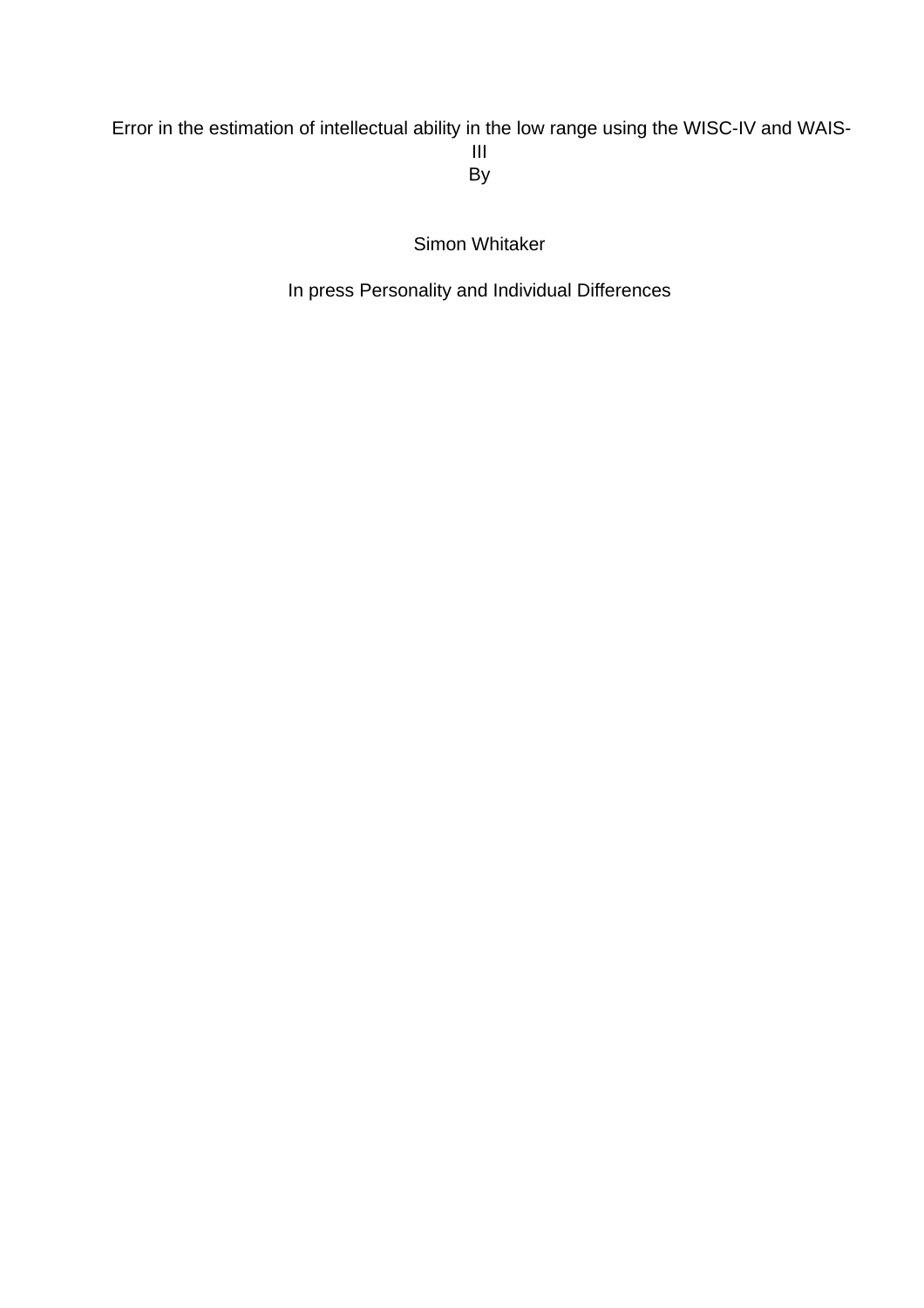# Error in the estimation of intellectual ability in the low range using the WISC-IV and WAIS-III By

Simon Whitaker

In press Personality and Individual Differences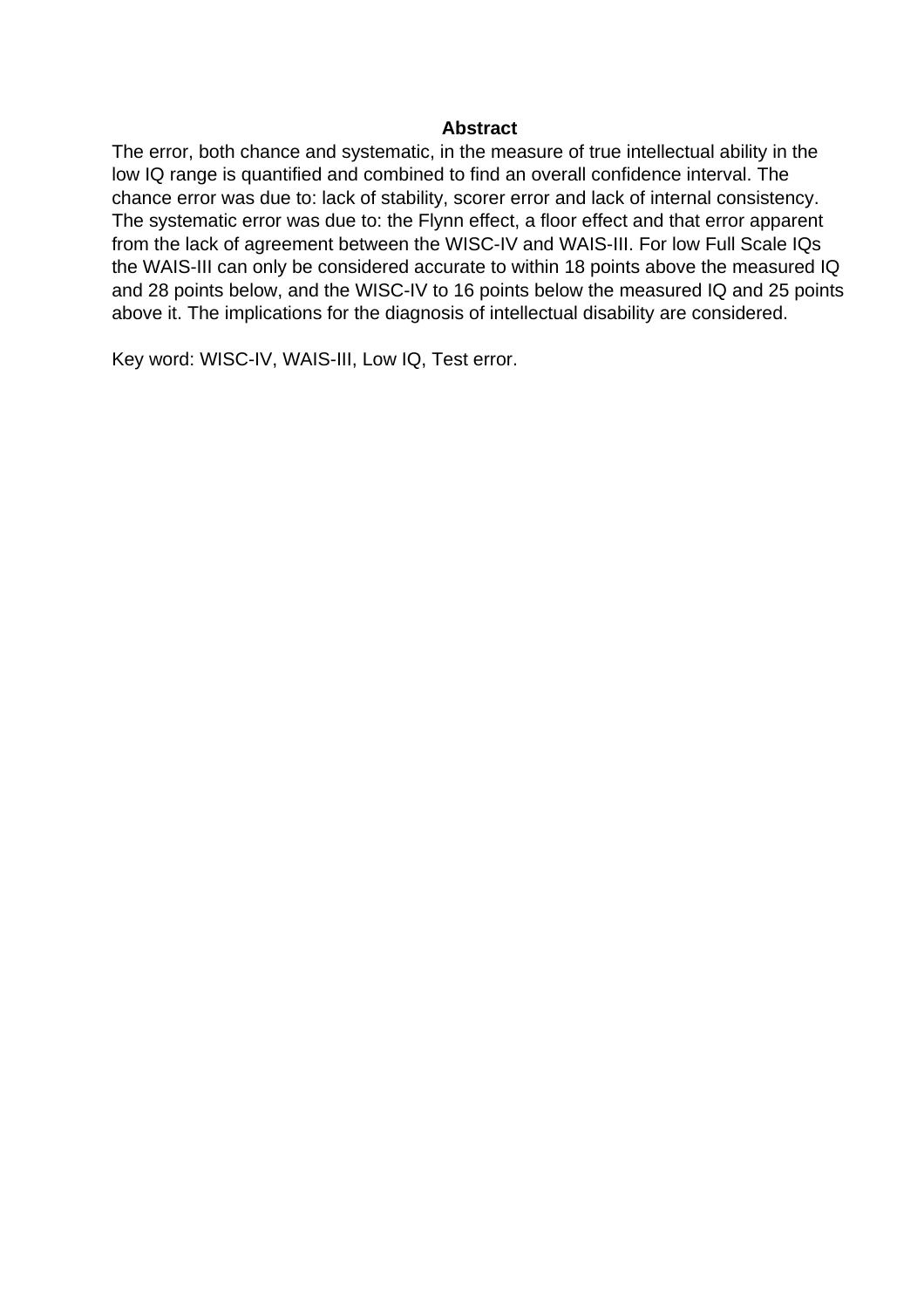#### **Abstract**

The error, both chance and systematic, in the measure of true intellectual ability in the low IQ range is quantified and combined to find an overall confidence interval. The chance error was due to: lack of stability, scorer error and lack of internal consistency. The systematic error was due to: the Flynn effect, a floor effect and that error apparent from the lack of agreement between the WISC-IV and WAIS-III. For low Full Scale IQs the WAIS-III can only be considered accurate to within 18 points above the measured IQ and 28 points below, and the WISC-IV to 16 points below the measured IQ and 25 points above it. The implications for the diagnosis of intellectual disability are considered.

Key word: WISC-IV, WAIS-III, Low IQ, Test error.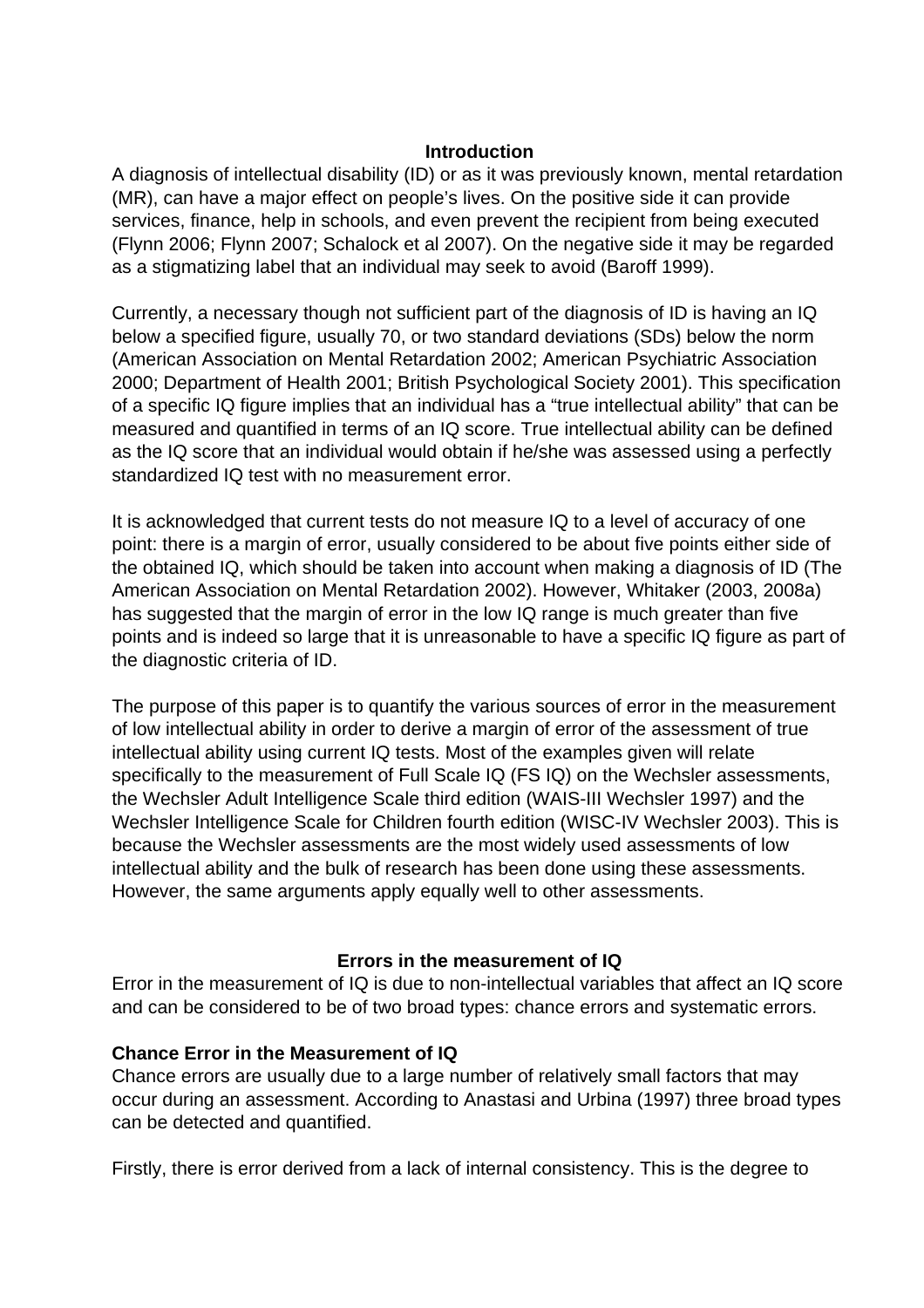#### **Introduction**

A diagnosis of intellectual disability (ID) or as it was previously known, mental retardation (MR), can have a major effect on people's lives. On the positive side it can provide services, finance, help in schools, and even prevent the recipient from being executed (Flynn 2006; Flynn 2007; Schalock et al 2007). On the negative side it may be regarded as a stigmatizing label that an individual may seek to avoid (Baroff 1999).

Currently, a necessary though not sufficient part of the diagnosis of ID is having an IQ below a specified figure, usually 70, or two standard deviations (SDs) below the norm (American Association on Mental Retardation 2002; American Psychiatric Association 2000; Department of Health 2001; British Psychological Society 2001). This specification of a specific IQ figure implies that an individual has a "true intellectual ability" that can be measured and quantified in terms of an IQ score. True intellectual ability can be defined as the IQ score that an individual would obtain if he/she was assessed using a perfectly standardized IQ test with no measurement error.

It is acknowledged that current tests do not measure IQ to a level of accuracy of one point: there is a margin of error, usually considered to be about five points either side of the obtained IQ, which should be taken into account when making a diagnosis of ID (The American Association on Mental Retardation 2002). However, Whitaker (2003, 2008a) has suggested that the margin of error in the low IQ range is much greater than five points and is indeed so large that it is unreasonable to have a specific IQ figure as part of the diagnostic criteria of ID.

The purpose of this paper is to quantify the various sources of error in the measurement of low intellectual ability in order to derive a margin of error of the assessment of true intellectual ability using current IQ tests. Most of the examples given will relate specifically to the measurement of Full Scale IQ (FS IQ) on the Wechsler assessments, the Wechsler Adult Intelligence Scale third edition (WAIS-III Wechsler 1997) and the Wechsler Intelligence Scale for Children fourth edition (WISC-IV Wechsler 2003). This is because the Wechsler assessments are the most widely used assessments of low intellectual ability and the bulk of research has been done using these assessments. However, the same arguments apply equally well to other assessments.

## **Errors in the measurement of IQ**

Error in the measurement of IQ is due to non-intellectual variables that affect an IQ score and can be considered to be of two broad types: chance errors and systematic errors.

### **Chance Error in the Measurement of IQ**

Chance errors are usually due to a large number of relatively small factors that may occur during an assessment. According to Anastasi and Urbina (1997) three broad types can be detected and quantified.

Firstly, there is error derived from a lack of internal consistency. This is the degree to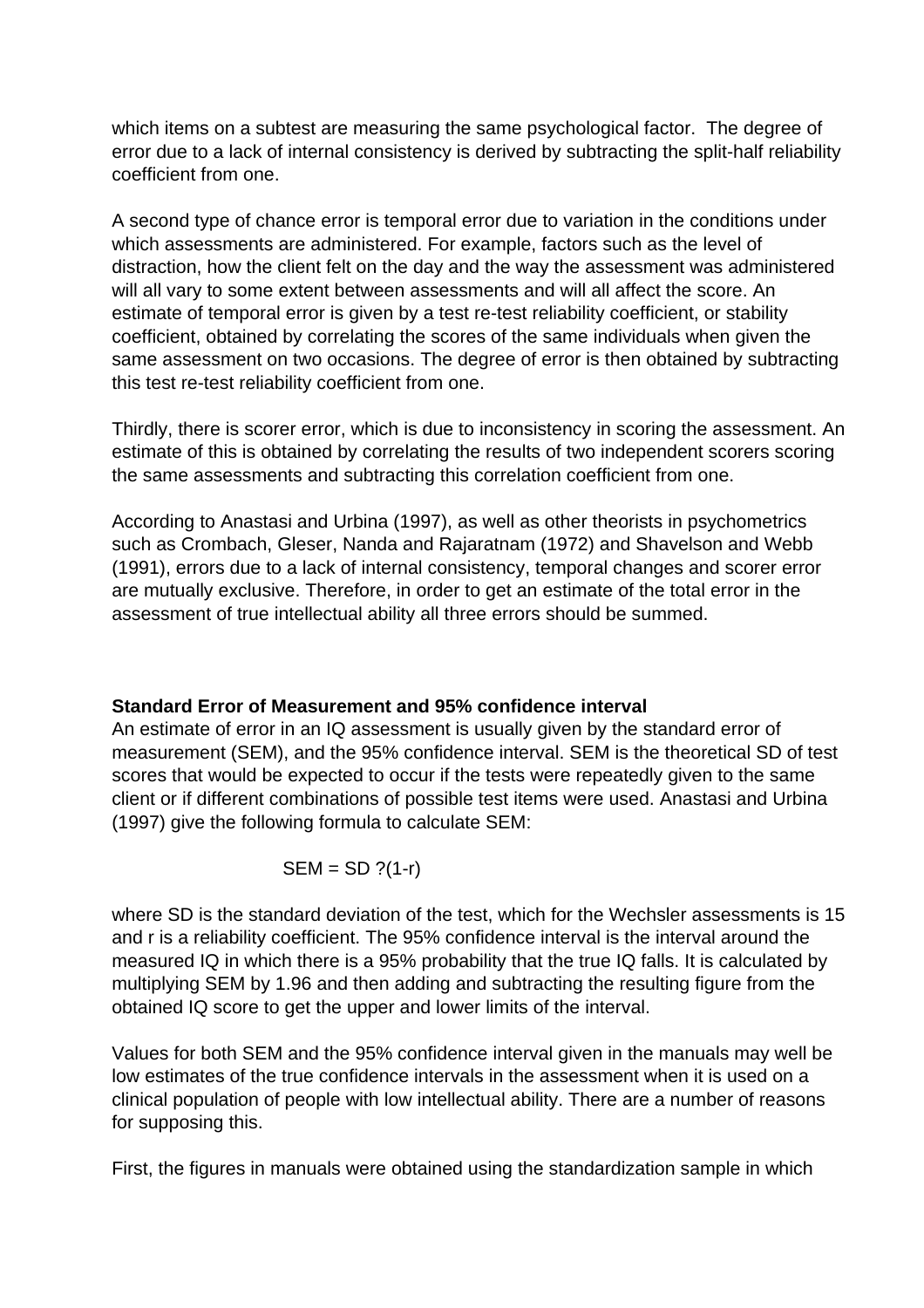which items on a subtest are measuring the same psychological factor. The degree of error due to a lack of internal consistency is derived by subtracting the split-half reliability coefficient from one.

A second type of chance error is temporal error due to variation in the conditions under which assessments are administered. For example, factors such as the level of distraction, how the client felt on the day and the way the assessment was administered will all vary to some extent between assessments and will all affect the score. An estimate of temporal error is given by a test re-test reliability coefficient, or stability coefficient, obtained by correlating the scores of the same individuals when given the same assessment on two occasions. The degree of error is then obtained by subtracting this test re-test reliability coefficient from one.

Thirdly, there is scorer error, which is due to inconsistency in scoring the assessment. An estimate of this is obtained by correlating the results of two independent scorers scoring the same assessments and subtracting this correlation coefficient from one.

According to Anastasi and Urbina (1997), as well as other theorists in psychometrics such as Crombach, Gleser, Nanda and Rajaratnam (1972) and Shavelson and Webb (1991), errors due to a lack of internal consistency, temporal changes and scorer error are mutually exclusive. Therefore, in order to get an estimate of the total error in the assessment of true intellectual ability all three errors should be summed.

## **Standard Error of Measurement and 95% confidence interval**

An estimate of error in an IQ assessment is usually given by the standard error of measurement (SEM), and the 95% confidence interval. SEM is the theoretical SD of test scores that would be expected to occur if the tests were repeatedly given to the same client or if different combinations of possible test items were used. Anastasi and Urbina (1997) give the following formula to calculate SEM:

$$
SEM = SD ?(1-r)
$$

where SD is the standard deviation of the test, which for the Wechsler assessments is 15 and r is a reliability coefficient. The 95% confidence interval is the interval around the measured IQ in which there is a 95% probability that the true IQ falls. It is calculated by multiplying SEM by 1.96 and then adding and subtracting the resulting figure from the obtained IQ score to get the upper and lower limits of the interval.

Values for both SEM and the 95% confidence interval given in the manuals may well be low estimates of the true confidence intervals in the assessment when it is used on a clinical population of people with low intellectual ability. There are a number of reasons for supposing this.

First, the figures in manuals were obtained using the standardization sample in which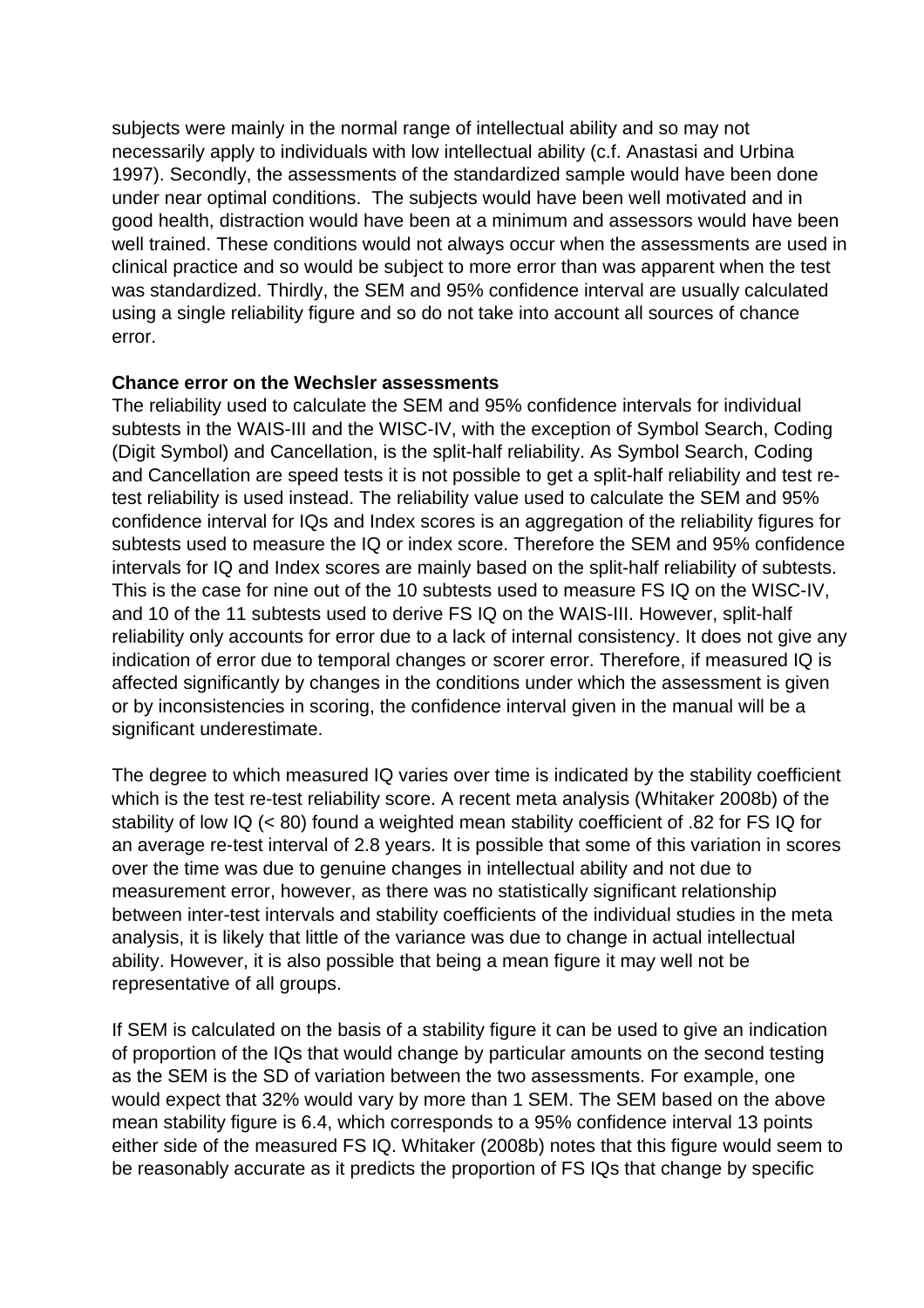subjects were mainly in the normal range of intellectual ability and so may not necessarily apply to individuals with low intellectual ability (c.f. Anastasi and Urbina 1997). Secondly, the assessments of the standardized sample would have been done under near optimal conditions. The subjects would have been well motivated and in good health, distraction would have been at a minimum and assessors would have been well trained. These conditions would not always occur when the assessments are used in clinical practice and so would be subject to more error than was apparent when the test was standardized. Thirdly, the SEM and 95% confidence interval are usually calculated using a single reliability figure and so do not take into account all sources of chance error.

### **Chance error on the Wechsler assessments**

The reliability used to calculate the SEM and 95% confidence intervals for individual subtests in the WAIS-III and the WISC-IV, with the exception of Symbol Search, Coding (Digit Symbol) and Cancellation, is the split-half reliability. As Symbol Search, Coding and Cancellation are speed tests it is not possible to get a split-half reliability and test retest reliability is used instead. The reliability value used to calculate the SEM and 95% confidence interval for IQs and Index scores is an aggregation of the reliability figures for subtests used to measure the IQ or index score. Therefore the SEM and 95% confidence intervals for IQ and Index scores are mainly based on the split-half reliability of subtests. This is the case for nine out of the 10 subtests used to measure FS IQ on the WISC-IV, and 10 of the 11 subtests used to derive FS IQ on the WAIS-III. However, split-half reliability only accounts for error due to a lack of internal consistency. It does not give any indication of error due to temporal changes or scorer error. Therefore, if measured IQ is affected significantly by changes in the conditions under which the assessment is given or by inconsistencies in scoring, the confidence interval given in the manual will be a significant underestimate.

The degree to which measured IQ varies over time is indicated by the stability coefficient which is the test re-test reliability score. A recent meta analysis (Whitaker 2008b) of the stability of low IQ (< 80) found a weighted mean stability coefficient of .82 for FS IQ for an average re-test interval of 2.8 years. It is possible that some of this variation in scores over the time was due to genuine changes in intellectual ability and not due to measurement error, however, as there was no statistically significant relationship between inter-test intervals and stability coefficients of the individual studies in the meta analysis, it is likely that little of the variance was due to change in actual intellectual ability. However, it is also possible that being a mean figure it may well not be representative of all groups.

If SEM is calculated on the basis of a stability figure it can be used to give an indication of proportion of the IQs that would change by particular amounts on the second testing as the SEM is the SD of variation between the two assessments. For example, one would expect that 32% would vary by more than 1 SEM. The SEM based on the above mean stability figure is 6.4, which corresponds to a 95% confidence interval 13 points either side of the measured FS IQ. Whitaker (2008b) notes that this figure would seem to be reasonably accurate as it predicts the proportion of FS IQs that change by specific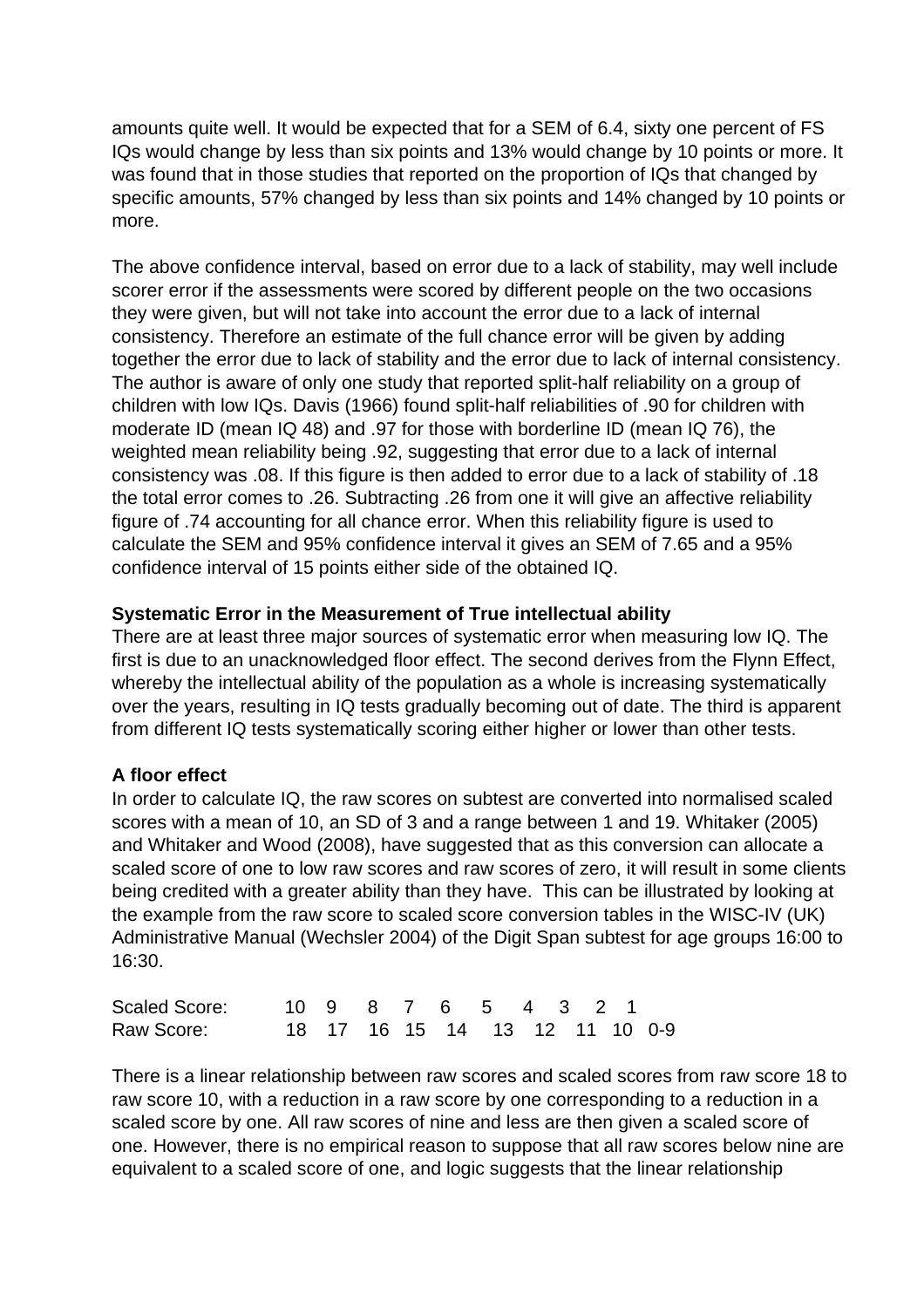amounts quite well. It would be expected that for a SEM of 6.4, sixty one percent of FS IQs would change by less than six points and 13% would change by 10 points or more. It was found that in those studies that reported on the proportion of IQs that changed by specific amounts, 57% changed by less than six points and 14% changed by 10 points or more.

The above confidence interval, based on error due to a lack of stability, may well include scorer error if the assessments were scored by different people on the two occasions they were given, but will not take into account the error due to a lack of internal consistency. Therefore an estimate of the full chance error will be given by adding together the error due to lack of stability and the error due to lack of internal consistency. The author is aware of only one study that reported split-half reliability on a group of children with low IQs. Davis (1966) found split-half reliabilities of .90 for children with moderate ID (mean IQ 48) and .97 for those with borderline ID (mean IQ 76), the weighted mean reliability being .92, suggesting that error due to a lack of internal consistency was .08. If this figure is then added to error due to a lack of stability of .18 the total error comes to .26. Subtracting .26 from one it will give an affective reliability figure of .74 accounting for all chance error. When this reliability figure is used to calculate the SEM and 95% confidence interval it gives an SEM of 7.65 and a 95% confidence interval of 15 points either side of the obtained IQ.

# **Systematic Error in the Measurement of True intellectual ability**

There are at least three major sources of systematic error when measuring low IQ. The first is due to an unacknowledged floor effect. The second derives from the Flynn Effect, whereby the intellectual ability of the population as a whole is increasing systematically over the years, resulting in IQ tests gradually becoming out of date. The third is apparent from different IQ tests systematically scoring either higher or lower than other tests.

# **A floor effect**

In order to calculate IQ, the raw scores on subtest are converted into normalised scaled scores with a mean of 10, an SD of 3 and a range between 1 and 19. Whitaker (2005) and Whitaker and Wood (2008), have suggested that as this conversion can allocate a scaled score of one to low raw scores and raw scores of zero, it will result in some clients being credited with a greater ability than they have. This can be illustrated by looking at the example from the raw score to scaled score conversion tables in the WISC-IV (UK) Administrative Manual (Wechsler 2004) of the Digit Span subtest for age groups 16:00 to 16:30.

| Scaled Score: |  |  | 10 9 8 7 6 5 4 3 2 1           |  |  |  |
|---------------|--|--|--------------------------------|--|--|--|
| Raw Score:    |  |  | 18 17 16 15 14 13 12 11 10 0-9 |  |  |  |

There is a linear relationship between raw scores and scaled scores from raw score 18 to raw score 10, with a reduction in a raw score by one corresponding to a reduction in a scaled score by one. All raw scores of nine and less are then given a scaled score of one. However, there is no empirical reason to suppose that all raw scores below nine are equivalent to a scaled score of one, and logic suggests that the linear relationship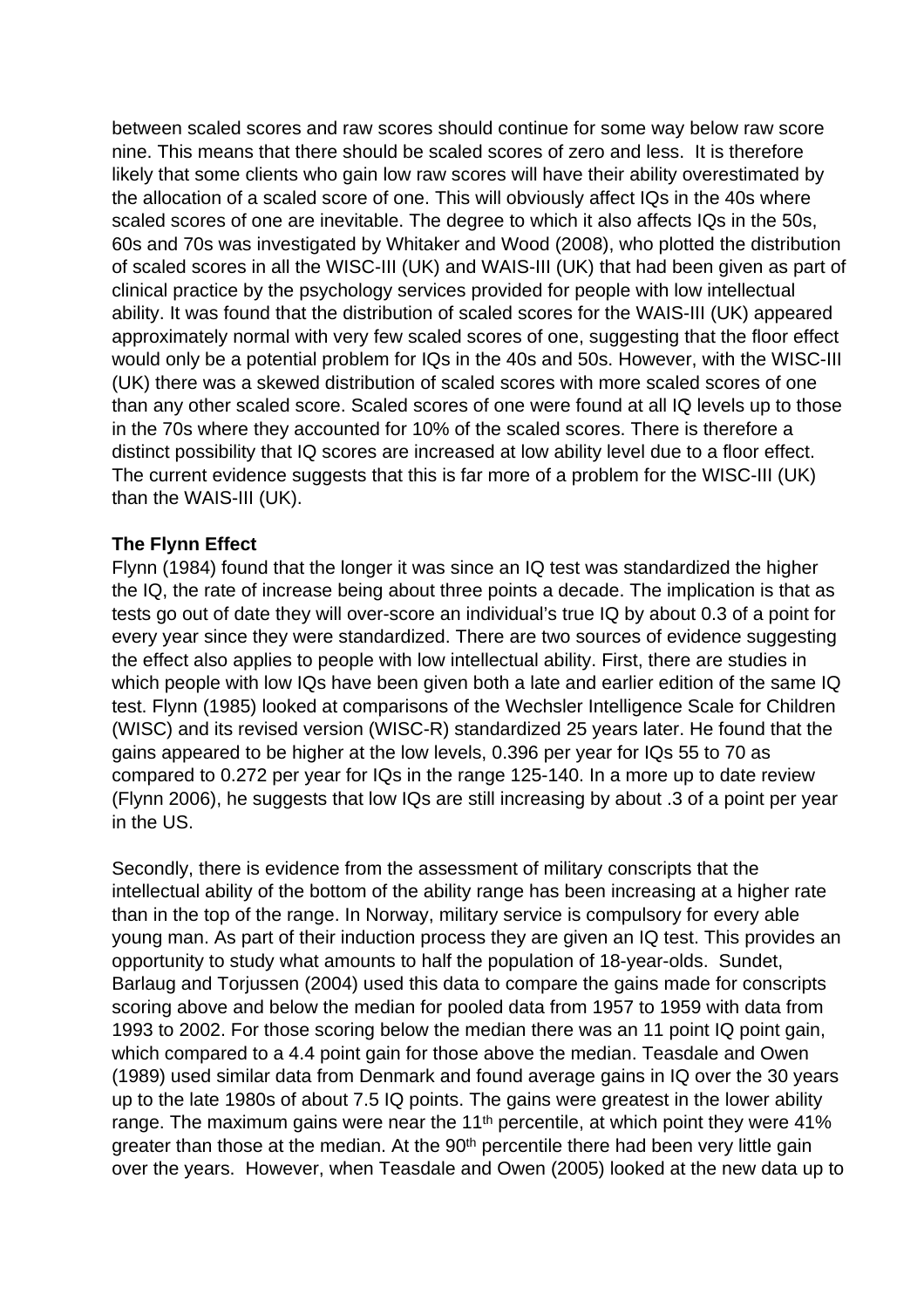between scaled scores and raw scores should continue for some way below raw score nine. This means that there should be scaled scores of zero and less. It is therefore likely that some clients who gain low raw scores will have their ability overestimated by the allocation of a scaled score of one. This will obviously affect IQs in the 40s where scaled scores of one are inevitable. The degree to which it also affects IQs in the 50s, 60s and 70s was investigated by Whitaker and Wood (2008), who plotted the distribution of scaled scores in all the WISC-III (UK) and WAIS-III (UK) that had been given as part of clinical practice by the psychology services provided for people with low intellectual ability. It was found that the distribution of scaled scores for the WAIS-III (UK) appeared approximately normal with very few scaled scores of one, suggesting that the floor effect would only be a potential problem for IQs in the 40s and 50s. However, with the WISC-III (UK) there was a skewed distribution of scaled scores with more scaled scores of one than any other scaled score. Scaled scores of one were found at all IQ levels up to those in the 70s where they accounted for 10% of the scaled scores. There is therefore a distinct possibility that IQ scores are increased at low ability level due to a floor effect. The current evidence suggests that this is far more of a problem for the WISC-III (UK) than the WAIS-III (UK).

## **The Flynn Effect**

Flynn (1984) found that the longer it was since an IQ test was standardized the higher the IQ, the rate of increase being about three points a decade. The implication is that as tests go out of date they will over-score an individual's true IQ by about 0.3 of a point for every year since they were standardized. There are two sources of evidence suggesting the effect also applies to people with low intellectual ability. First, there are studies in which people with low IQs have been given both a late and earlier edition of the same IQ test. Flynn (1985) looked at comparisons of the Wechsler Intelligence Scale for Children (WISC) and its revised version (WISC-R) standardized 25 years later. He found that the gains appeared to be higher at the low levels, 0.396 per year for IQs 55 to 70 as compared to 0.272 per year for IQs in the range 125-140. In a more up to date review (Flynn 2006), he suggests that low IQs are still increasing by about .3 of a point per year in the US.

Secondly, there is evidence from the assessment of military conscripts that the intellectual ability of the bottom of the ability range has been increasing at a higher rate than in the top of the range. In Norway, military service is compulsory for every able young man. As part of their induction process they are given an IQ test. This provides an opportunity to study what amounts to half the population of 18-year-olds. Sundet, Barlaug and Torjussen (2004) used this data to compare the gains made for conscripts scoring above and below the median for pooled data from 1957 to 1959 with data from 1993 to 2002. For those scoring below the median there was an 11 point IQ point gain, which compared to a 4.4 point gain for those above the median. Teasdale and Owen (1989) used similar data from Denmark and found average gains in IQ over the 30 years up to the late 1980s of about 7.5 IQ points. The gains were greatest in the lower ability range. The maximum gains were near the 11<sup>th</sup> percentile, at which point they were 41% greater than those at the median. At the 90<sup>th</sup> percentile there had been very little gain over the years. However, when Teasdale and Owen (2005) looked at the new data up to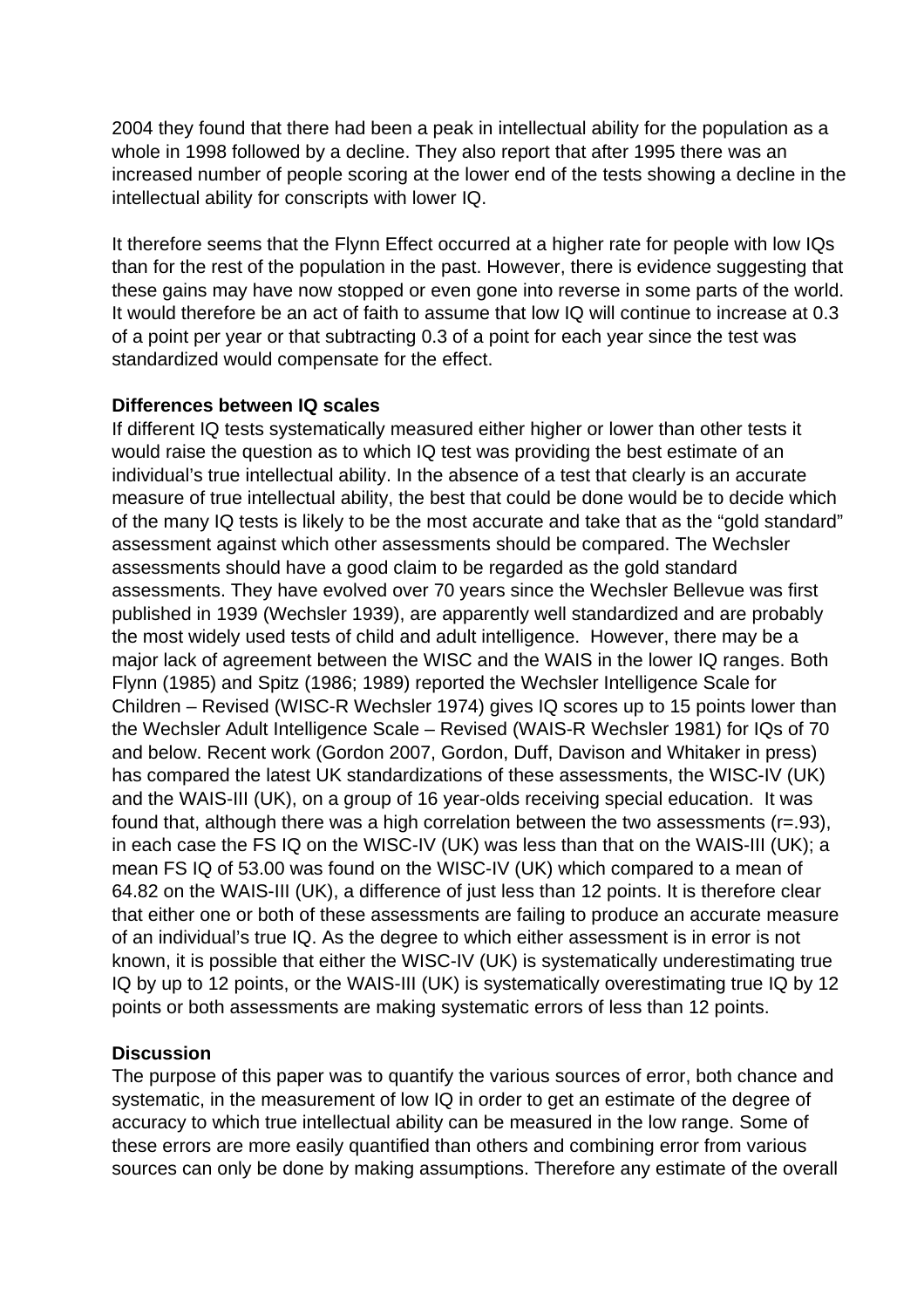2004 they found that there had been a peak in intellectual ability for the population as a whole in 1998 followed by a decline. They also report that after 1995 there was an increased number of people scoring at the lower end of the tests showing a decline in the intellectual ability for conscripts with lower IQ.

It therefore seems that the Flynn Effect occurred at a higher rate for people with low IQs than for the rest of the population in the past. However, there is evidence suggesting that these gains may have now stopped or even gone into reverse in some parts of the world. It would therefore be an act of faith to assume that low IQ will continue to increase at 0.3 of a point per year or that subtracting 0.3 of a point for each year since the test was standardized would compensate for the effect.

# **Differences between IQ scales**

If different IQ tests systematically measured either higher or lower than other tests it would raise the question as to which IQ test was providing the best estimate of an individual's true intellectual ability. In the absence of a test that clearly is an accurate measure of true intellectual ability, the best that could be done would be to decide which of the many IQ tests is likely to be the most accurate and take that as the "gold standard" assessment against which other assessments should be compared. The Wechsler assessments should have a good claim to be regarded as the gold standard assessments. They have evolved over 70 years since the Wechsler Bellevue was first published in 1939 (Wechsler 1939), are apparently well standardized and are probably the most widely used tests of child and adult intelligence. However, there may be a major lack of agreement between the WISC and the WAIS in the lower IQ ranges. Both Flynn (1985) and Spitz (1986; 1989) reported the Wechsler Intelligence Scale for Children – Revised (WISC-R Wechsler 1974) gives IQ scores up to 15 points lower than the Wechsler Adult Intelligence Scale – Revised (WAIS-R Wechsler 1981) for IQs of 70 and below. Recent work (Gordon 2007, Gordon, Duff, Davison and Whitaker in press) has compared the latest UK standardizations of these assessments, the WISC-IV (UK) and the WAIS-III (UK), on a group of 16 year-olds receiving special education. It was found that, although there was a high correlation between the two assessments (r=.93), in each case the FS IQ on the WISC-IV (UK) was less than that on the WAIS-III (UK); a mean FS IQ of 53.00 was found on the WISC-IV (UK) which compared to a mean of 64.82 on the WAIS-III (UK), a difference of just less than 12 points. It is therefore clear that either one or both of these assessments are failing to produce an accurate measure of an individual's true IQ. As the degree to which either assessment is in error is not known, it is possible that either the WISC-IV (UK) is systematically underestimating true IQ by up to 12 points, or the WAIS-III (UK) is systematically overestimating true IQ by 12 points or both assessments are making systematic errors of less than 12 points.

## **Discussion**

The purpose of this paper was to quantify the various sources of error, both chance and systematic, in the measurement of low IQ in order to get an estimate of the degree of accuracy to which true intellectual ability can be measured in the low range. Some of these errors are more easily quantified than others and combining error from various sources can only be done by making assumptions. Therefore any estimate of the overall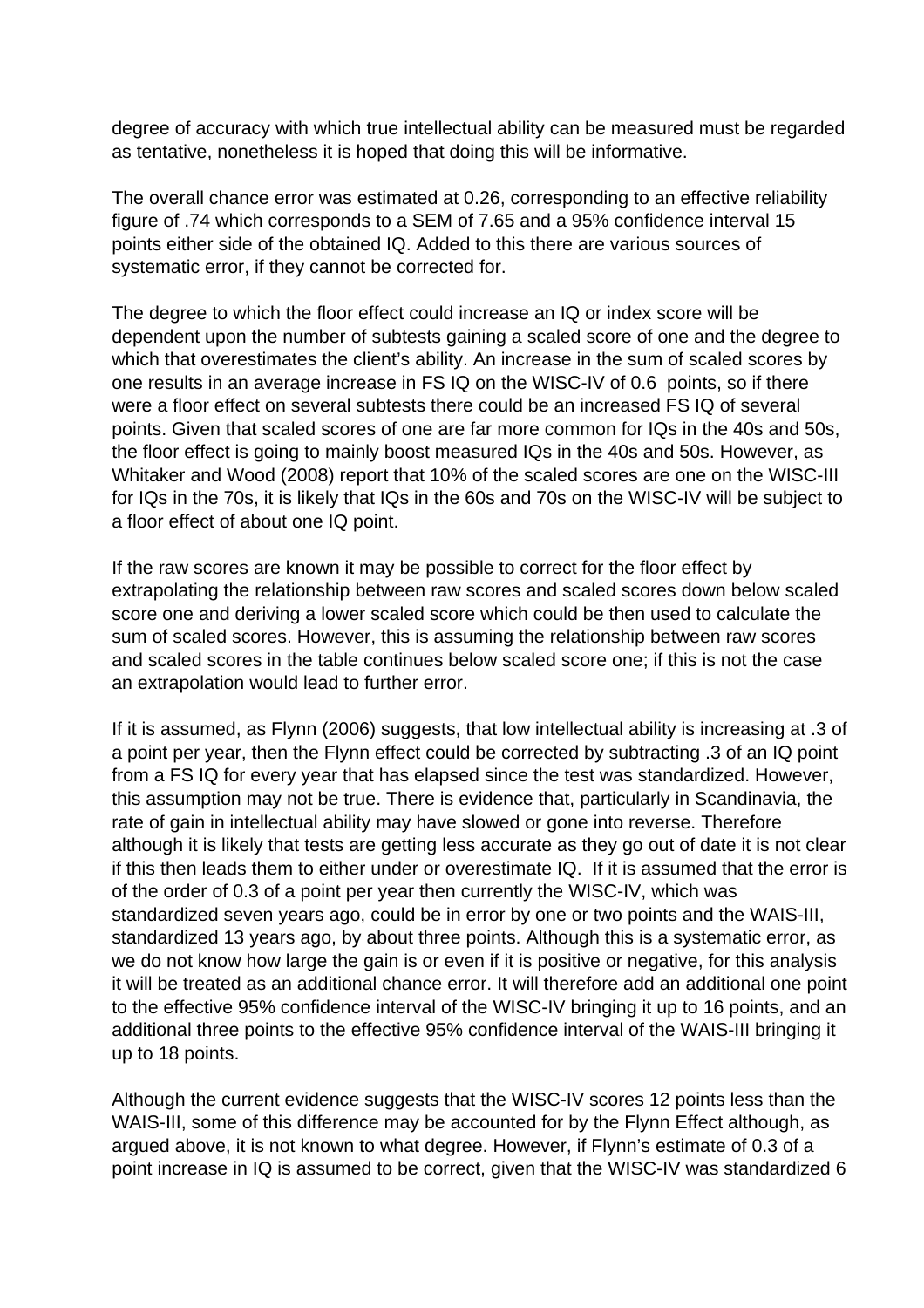degree of accuracy with which true intellectual ability can be measured must be regarded as tentative, nonetheless it is hoped that doing this will be informative.

The overall chance error was estimated at 0.26, corresponding to an effective reliability figure of .74 which corresponds to a SEM of 7.65 and a 95% confidence interval 15 points either side of the obtained IQ. Added to this there are various sources of systematic error, if they cannot be corrected for.

The degree to which the floor effect could increase an IQ or index score will be dependent upon the number of subtests gaining a scaled score of one and the degree to which that overestimates the client's ability. An increase in the sum of scaled scores by one results in an average increase in FS IQ on the WISC-IV of 0.6 points, so if there were a floor effect on several subtests there could be an increased FS IQ of several points. Given that scaled scores of one are far more common for IQs in the 40s and 50s, the floor effect is going to mainly boost measured IQs in the 40s and 50s. However, as Whitaker and Wood (2008) report that 10% of the scaled scores are one on the WISC-III for IQs in the 70s, it is likely that IQs in the 60s and 70s on the WISC-IV will be subject to a floor effect of about one IQ point.

If the raw scores are known it may be possible to correct for the floor effect by extrapolating the relationship between raw scores and scaled scores down below scaled score one and deriving a lower scaled score which could be then used to calculate the sum of scaled scores. However, this is assuming the relationship between raw scores and scaled scores in the table continues below scaled score one; if this is not the case an extrapolation would lead to further error.

If it is assumed, as Flynn (2006) suggests, that low intellectual ability is increasing at .3 of a point per year, then the Flynn effect could be corrected by subtracting .3 of an IQ point from a FS IQ for every year that has elapsed since the test was standardized. However, this assumption may not be true. There is evidence that, particularly in Scandinavia, the rate of gain in intellectual ability may have slowed or gone into reverse. Therefore although it is likely that tests are getting less accurate as they go out of date it is not clear if this then leads them to either under or overestimate IQ. If it is assumed that the error is of the order of 0.3 of a point per year then currently the WISC-IV, which was standardized seven years ago, could be in error by one or two points and the WAIS-III, standardized 13 years ago, by about three points. Although this is a systematic error, as we do not know how large the gain is or even if it is positive or negative, for this analysis it will be treated as an additional chance error. It will therefore add an additional one point to the effective 95% confidence interval of the WISC-IV bringing it up to 16 points, and an additional three points to the effective 95% confidence interval of the WAIS-III bringing it up to 18 points.

Although the current evidence suggests that the WISC-IV scores 12 points less than the WAIS-III, some of this difference may be accounted for by the Flynn Effect although, as argued above, it is not known to what degree. However, if Flynn's estimate of 0.3 of a point increase in IQ is assumed to be correct, given that the WISC-IV was standardized 6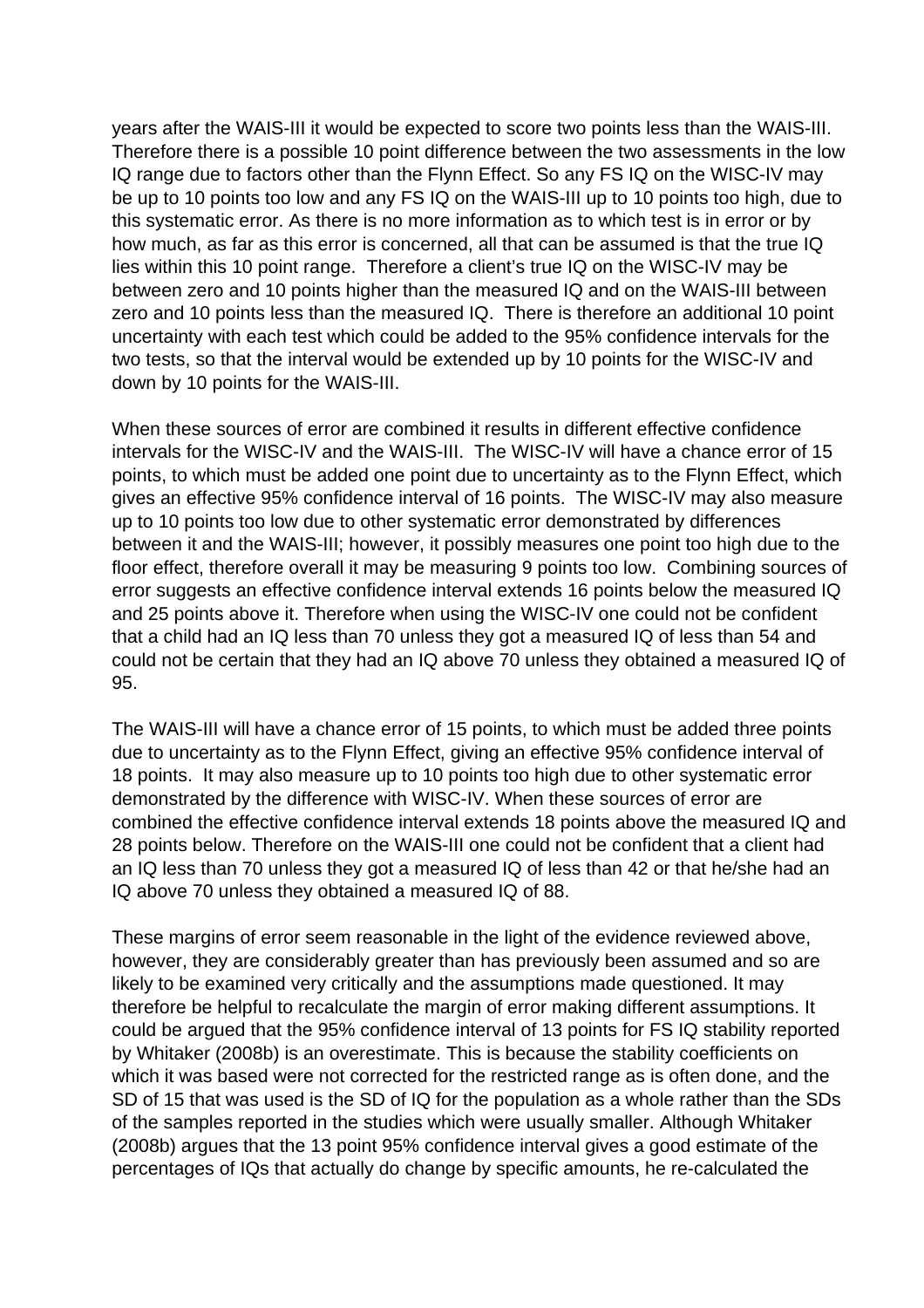years after the WAIS-III it would be expected to score two points less than the WAIS-III. Therefore there is a possible 10 point difference between the two assessments in the low IQ range due to factors other than the Flynn Effect. So any FS IQ on the WISC-IV may be up to 10 points too low and any FS IQ on the WAIS-III up to 10 points too high, due to this systematic error. As there is no more information as to which test is in error or by how much, as far as this error is concerned, all that can be assumed is that the true IQ lies within this 10 point range. Therefore a client's true IQ on the WISC-IV may be between zero and 10 points higher than the measured IQ and on the WAIS-III between zero and 10 points less than the measured IQ. There is therefore an additional 10 point uncertainty with each test which could be added to the 95% confidence intervals for the two tests, so that the interval would be extended up by 10 points for the WISC-IV and down by 10 points for the WAIS-III.

When these sources of error are combined it results in different effective confidence intervals for the WISC-IV and the WAIS-III. The WISC-IV will have a chance error of 15 points, to which must be added one point due to uncertainty as to the Flynn Effect, which gives an effective 95% confidence interval of 16 points. The WISC-IV may also measure up to 10 points too low due to other systematic error demonstrated by differences between it and the WAIS-III; however, it possibly measures one point too high due to the floor effect, therefore overall it may be measuring 9 points too low. Combining sources of error suggests an effective confidence interval extends 16 points below the measured IQ and 25 points above it. Therefore when using the WISC-IV one could not be confident that a child had an IQ less than 70 unless they got a measured IQ of less than 54 and could not be certain that they had an IQ above 70 unless they obtained a measured IQ of 95.

The WAIS-III will have a chance error of 15 points, to which must be added three points due to uncertainty as to the Flynn Effect, giving an effective 95% confidence interval of 18 points. It may also measure up to 10 points too high due to other systematic error demonstrated by the difference with WISC-IV. When these sources of error are combined the effective confidence interval extends 18 points above the measured IQ and 28 points below. Therefore on the WAIS-III one could not be confident that a client had an IQ less than 70 unless they got a measured IQ of less than 42 or that he/she had an IQ above 70 unless they obtained a measured IQ of 88.

These margins of error seem reasonable in the light of the evidence reviewed above, however, they are considerably greater than has previously been assumed and so are likely to be examined very critically and the assumptions made questioned. It may therefore be helpful to recalculate the margin of error making different assumptions. It could be argued that the 95% confidence interval of 13 points for FS IQ stability reported by Whitaker (2008b) is an overestimate. This is because the stability coefficients on which it was based were not corrected for the restricted range as is often done, and the SD of 15 that was used is the SD of IQ for the population as a whole rather than the SDs of the samples reported in the studies which were usually smaller. Although Whitaker (2008b) argues that the 13 point 95% confidence interval gives a good estimate of the percentages of IQs that actually do change by specific amounts, he re-calculated the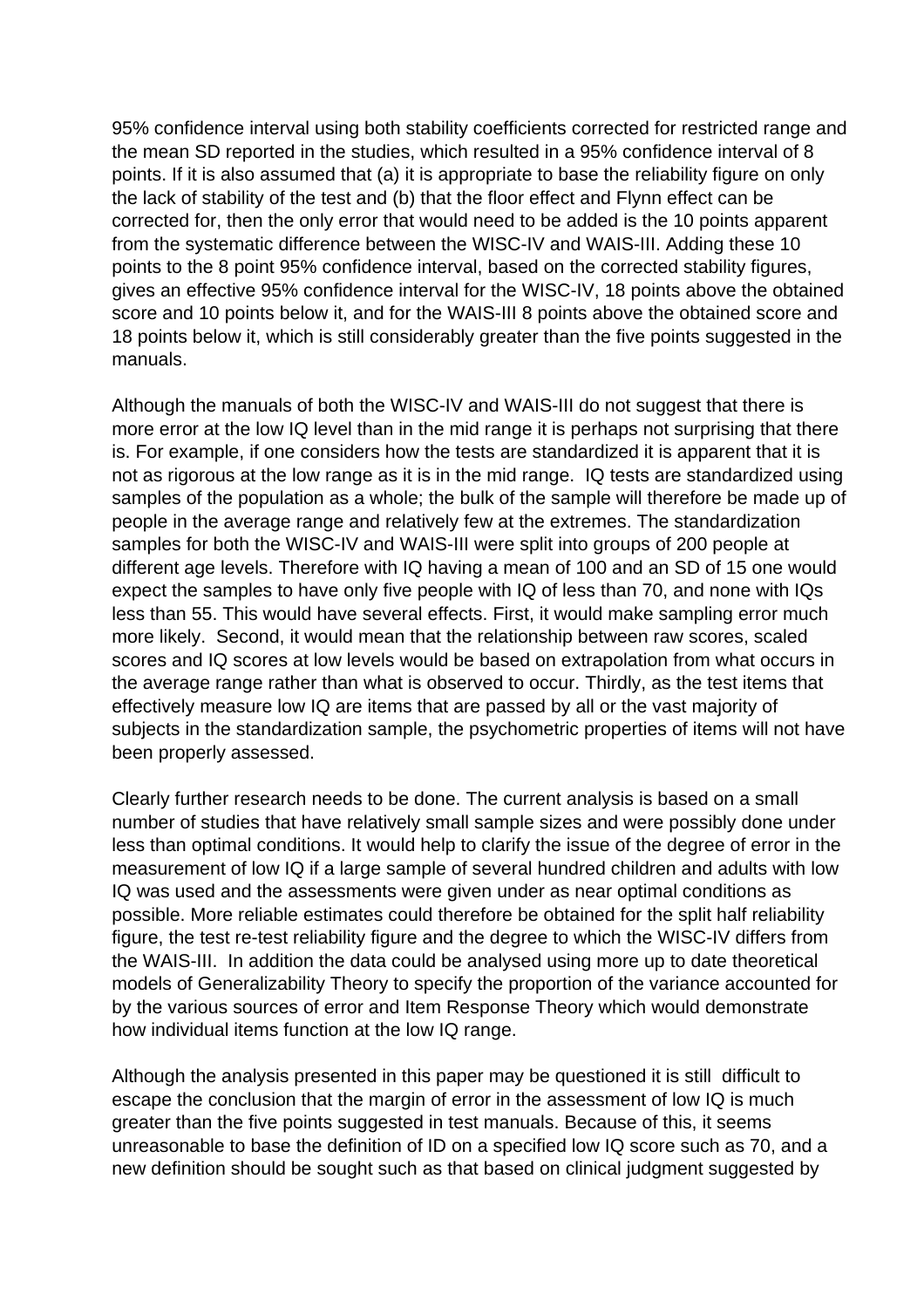95% confidence interval using both stability coefficients corrected for restricted range and the mean SD reported in the studies, which resulted in a 95% confidence interval of 8 points. If it is also assumed that (a) it is appropriate to base the reliability figure on only the lack of stability of the test and (b) that the floor effect and Flynn effect can be corrected for, then the only error that would need to be added is the 10 points apparent from the systematic difference between the WISC-IV and WAIS-III. Adding these 10 points to the 8 point 95% confidence interval, based on the corrected stability figures, gives an effective 95% confidence interval for the WISC-IV, 18 points above the obtained score and 10 points below it, and for the WAIS-III 8 points above the obtained score and 18 points below it, which is still considerably greater than the five points suggested in the manuals.

Although the manuals of both the WISC-IV and WAIS-III do not suggest that there is more error at the low IQ level than in the mid range it is perhaps not surprising that there is. For example, if one considers how the tests are standardized it is apparent that it is not as rigorous at the low range as it is in the mid range. IQ tests are standardized using samples of the population as a whole; the bulk of the sample will therefore be made up of people in the average range and relatively few at the extremes. The standardization samples for both the WISC-IV and WAIS-III were split into groups of 200 people at different age levels. Therefore with IQ having a mean of 100 and an SD of 15 one would expect the samples to have only five people with IQ of less than 70, and none with IQs less than 55. This would have several effects. First, it would make sampling error much more likely. Second, it would mean that the relationship between raw scores, scaled scores and IQ scores at low levels would be based on extrapolation from what occurs in the average range rather than what is observed to occur. Thirdly, as the test items that effectively measure low IQ are items that are passed by all or the vast majority of subjects in the standardization sample, the psychometric properties of items will not have been properly assessed.

Clearly further research needs to be done. The current analysis is based on a small number of studies that have relatively small sample sizes and were possibly done under less than optimal conditions. It would help to clarify the issue of the degree of error in the measurement of low IQ if a large sample of several hundred children and adults with low IQ was used and the assessments were given under as near optimal conditions as possible. More reliable estimates could therefore be obtained for the split half reliability figure, the test re-test reliability figure and the degree to which the WISC-IV differs from the WAIS-III. In addition the data could be analysed using more up to date theoretical models of Generalizability Theory to specify the proportion of the variance accounted for by the various sources of error and Item Response Theory which would demonstrate how individual items function at the low IQ range.

Although the analysis presented in this paper may be questioned it is still difficult to escape the conclusion that the margin of error in the assessment of low IQ is much greater than the five points suggested in test manuals. Because of this, it seems unreasonable to base the definition of ID on a specified low IQ score such as 70, and a new definition should be sought such as that based on clinical judgment suggested by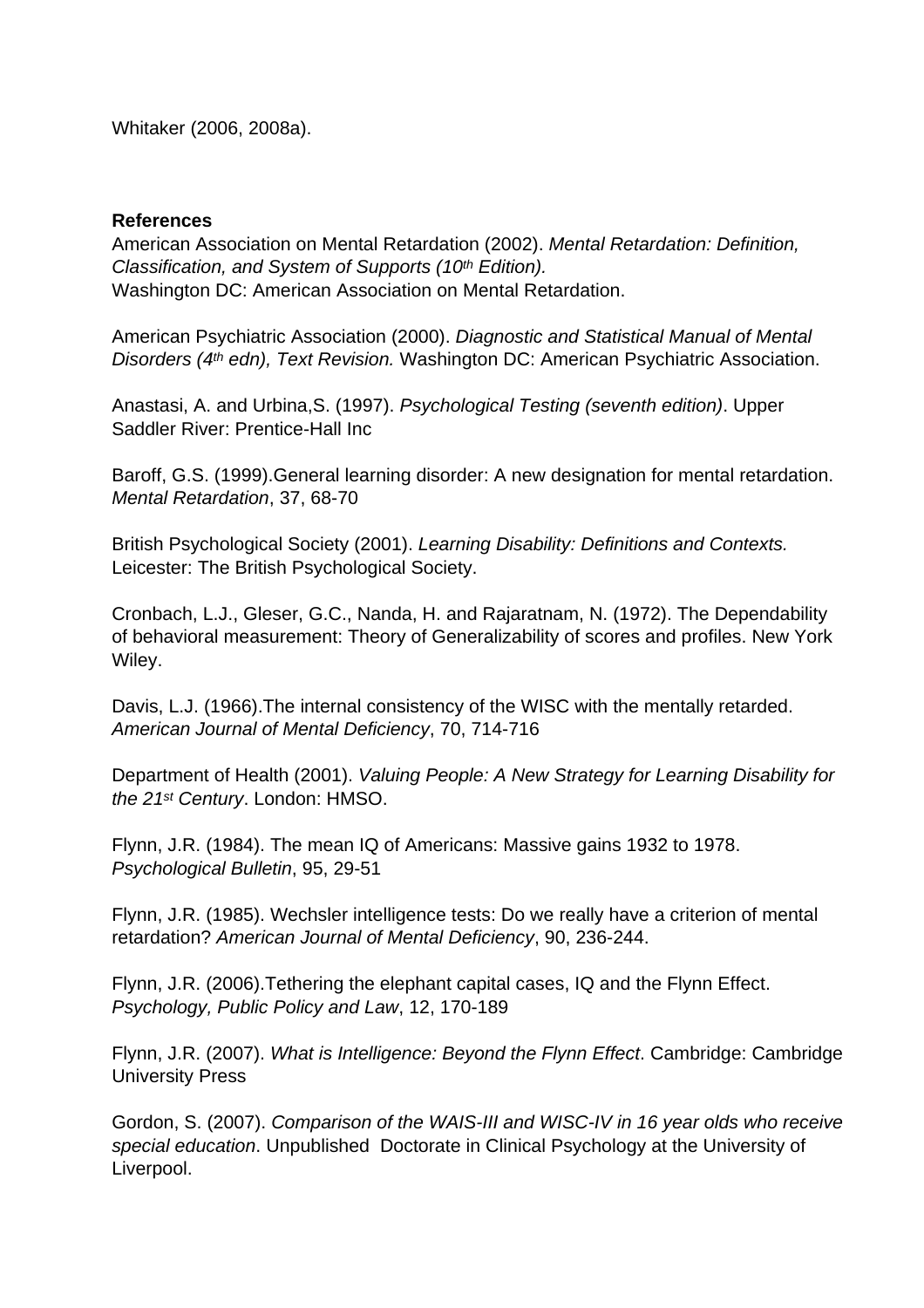Whitaker (2006, 2008a).

#### **References**

American Association on Mental Retardation (2002). Mental Retardation: Definition, Classification, and System of Supports (10<sup>th</sup> Edition). Washington DC: American Association on Mental Retardation.

American Psychiatric Association (2000). Diagnostic and Statistical Manual of Mental Disorders (4<sup>th</sup> edn), Text Revision. Washington DC: American Psychiatric Association.

Anastasi, A. and Urbina,S. (1997). Psychological Testing (seventh edition). Upper Saddler River: Prentice-Hall Inc

Baroff, G.S. (1999).General learning disorder: A new designation for mental retardation. Mental Retardation, 37, 68-70

British Psychological Society (2001). Learning Disability: Definitions and Contexts. Leicester: The British Psychological Society.

Cronbach, L.J., Gleser, G.C., Nanda, H. and Rajaratnam, N. (1972). The Dependability of behavioral measurement: Theory of Generalizability of scores and profiles. New York Wiley.

Davis, L.J. (1966).The internal consistency of the WISC with the mentally retarded. American Journal of Mental Deficiency, 70, 714-716

Department of Health (2001). Valuing People: A New Strategy for Learning Disability for the 21st Century. London: HMSO.

Flynn, J.R. (1984). The mean IQ of Americans: Massive gains 1932 to 1978. Psychological Bulletin, 95, 29-51

Flynn, J.R. (1985). Wechsler intelligence tests: Do we really have a criterion of mental retardation? American Journal of Mental Deficiency, 90, 236-244.

Flynn, J.R. (2006).Tethering the elephant capital cases, IQ and the Flynn Effect. Psychology, Public Policy and Law, 12, 170-189

Flynn, J.R. (2007). What is Intelligence: Beyond the Flynn Effect. Cambridge: Cambridge University Press

Gordon, S. (2007). Comparison of the WAIS-III and WISC-IV in 16 year olds who receive special education. Unpublished Doctorate in Clinical Psychology at the University of Liverpool.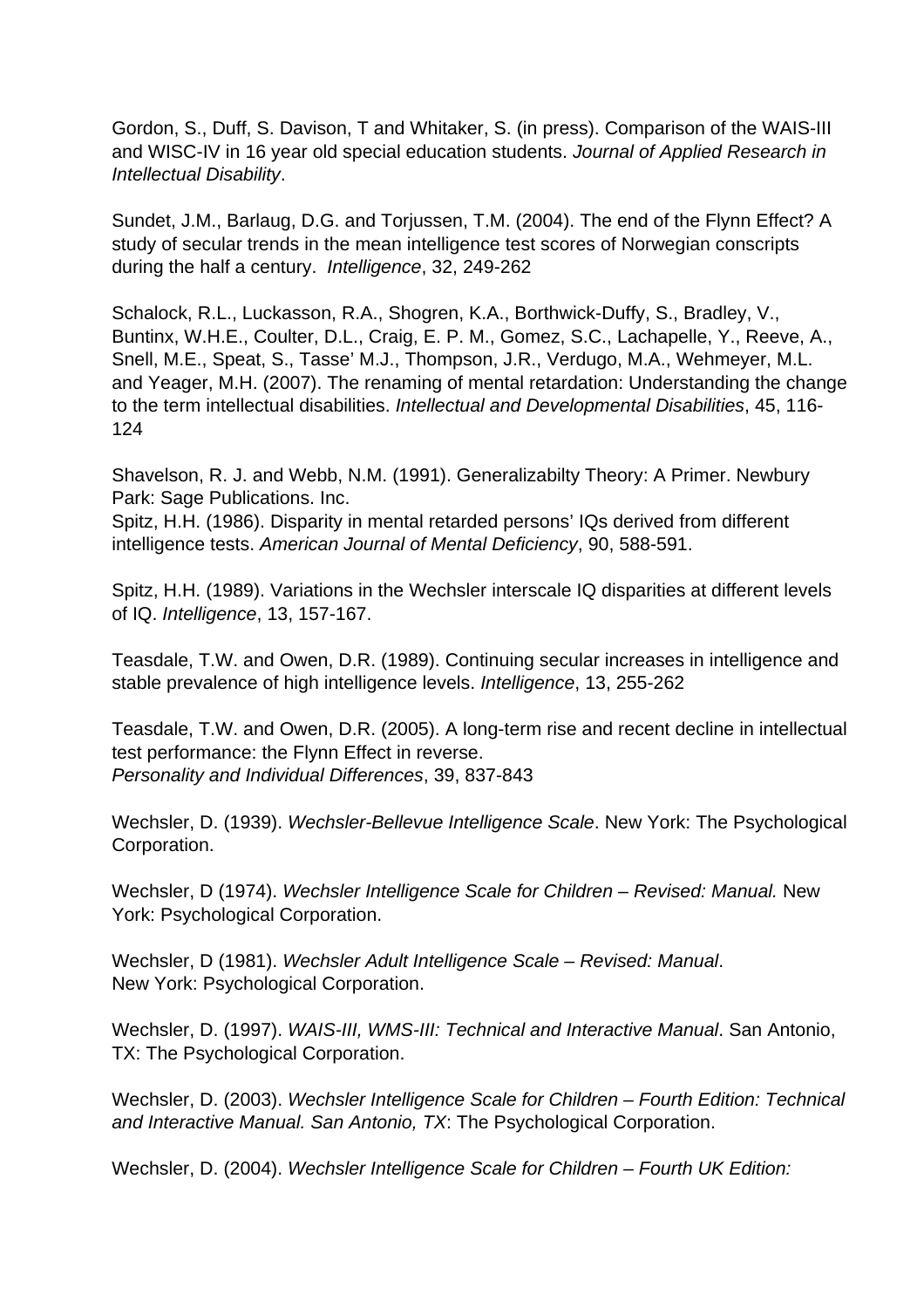Gordon, S., Duff, S. Davison, T and Whitaker, S. (in press). Comparison of the WAIS-III and WISC-IV in 16 year old special education students. Journal of Applied Research in Intellectual Disability.

Sundet, J.M., Barlaug, D.G. and Torjussen, T.M. (2004). The end of the Flynn Effect? A study of secular trends in the mean intelligence test scores of Norwegian conscripts during the half a century. Intelligence, 32, 249-262

Schalock, R.L., Luckasson, R.A., Shogren, K.A., Borthwick-Duffy, S., Bradley, V., Buntinx, W.H.E., Coulter, D.L., Craig, E. P. M., Gomez, S.C., Lachapelle, Y., Reeve, A., Snell, M.E., Speat, S., Tasse' M.J., Thompson, J.R., Verdugo, M.A., Wehmeyer, M.L. and Yeager, M.H. (2007). The renaming of mental retardation: Understanding the change to the term intellectual disabilities. Intellectual and Developmental Disabilities, 45, 116- 124

Shavelson, R. J. and Webb, N.M. (1991). Generalizabilty Theory: A Primer. Newbury Park: Sage Publications. Inc.

Spitz, H.H. (1986). Disparity in mental retarded persons' IQs derived from different intelligence tests. American Journal of Mental Deficiency, 90, 588-591.

Spitz, H.H. (1989). Variations in the Wechsler interscale IQ disparities at different levels of IQ. Intelligence, 13, 157-167.

Teasdale, T.W. and Owen, D.R. (1989). Continuing secular increases in intelligence and stable prevalence of high intelligence levels. Intelligence, 13, 255-262

Teasdale, T.W. and Owen, D.R. (2005). A long-term rise and recent decline in intellectual test performance: the Flynn Effect in reverse. Personality and Individual Differences, 39, 837-843

Wechsler, D. (1939). Wechsler-Bellevue Intelligence Scale. New York: The Psychological Corporation.

Wechsler, D (1974). Wechsler Intelligence Scale for Children – Revised: Manual. New York: Psychological Corporation.

Wechsler, D (1981). Wechsler Adult Intelligence Scale – Revised: Manual. New York: Psychological Corporation.

Wechsler, D. (1997). WAIS-III, WMS-III: Technical and Interactive Manual. San Antonio, TX: The Psychological Corporation.

Wechsler, D. (2003). Wechsler Intelligence Scale for Children – Fourth Edition: Technical and Interactive Manual. San Antonio, TX: The Psychological Corporation.

Wechsler, D. (2004). Wechsler Intelligence Scale for Children – Fourth UK Edition: